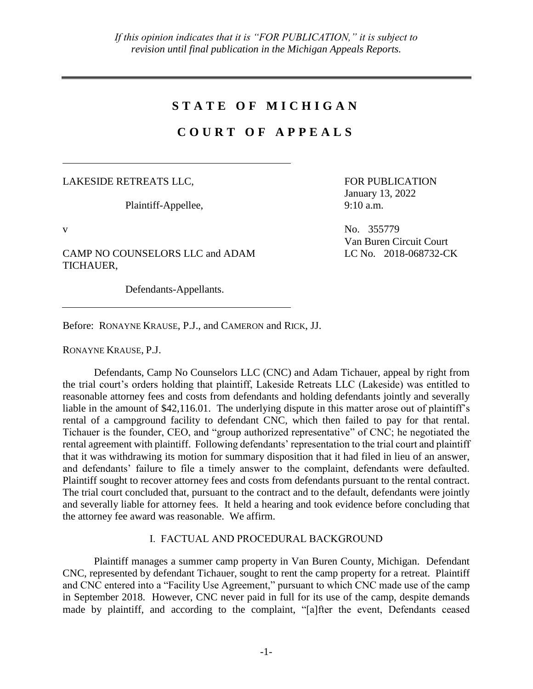## **S T A T E O F M I C H I G A N**

# **C O U R T O F A P P E A L S**

### LAKESIDE RETREATS LLC,

Plaintiff-Appellee,

FOR PUBLICATION January 13, 2022 9:10 a.m.

v No. 355779 Van Buren Circuit Court LC No. 2018-068732-CK

CAMP NO COUNSELORS LLC and ADAM TICHAUER,

Defendants-Appellants.

Before: RONAYNE KRAUSE, P.J., and CAMERON and RICK, JJ.

RONAYNE KRAUSE, P.J.

Defendants, Camp No Counselors LLC (CNC) and Adam Tichauer, appeal by right from the trial court's orders holding that plaintiff, Lakeside Retreats LLC (Lakeside) was entitled to reasonable attorney fees and costs from defendants and holding defendants jointly and severally liable in the amount of \$42,116.01. The underlying dispute in this matter arose out of plaintiff's rental of a campground facility to defendant CNC, which then failed to pay for that rental. Tichauer is the founder, CEO, and "group authorized representative" of CNC; he negotiated the rental agreement with plaintiff. Following defendants' representation to the trial court and plaintiff that it was withdrawing its motion for summary disposition that it had filed in lieu of an answer, and defendants' failure to file a timely answer to the complaint, defendants were defaulted. Plaintiff sought to recover attorney fees and costs from defendants pursuant to the rental contract. The trial court concluded that, pursuant to the contract and to the default, defendants were jointly and severally liable for attorney fees. It held a hearing and took evidence before concluding that the attorney fee award was reasonable. We affirm.

## I. FACTUAL AND PROCEDURAL BACKGROUND

Plaintiff manages a summer camp property in Van Buren County, Michigan. Defendant CNC, represented by defendant Tichauer, sought to rent the camp property for a retreat. Plaintiff and CNC entered into a "Facility Use Agreement," pursuant to which CNC made use of the camp in September 2018. However, CNC never paid in full for its use of the camp, despite demands made by plaintiff, and according to the complaint, "[a]fter the event, Defendants ceased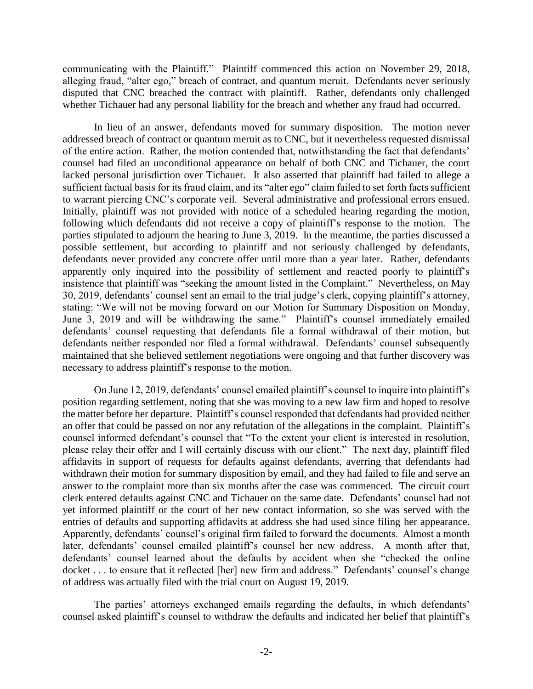communicating with the Plaintiff." Plaintiff commenced this action on November 29, 2018, alleging fraud, "alter ego," breach of contract, and quantum meruit. Defendants never seriously disputed that CNC breached the contract with plaintiff. Rather, defendants only challenged whether Tichauer had any personal liability for the breach and whether any fraud had occurred.

In lieu of an answer, defendants moved for summary disposition. The motion never addressed breach of contract or quantum meruit as to CNC, but it nevertheless requested dismissal of the entire action. Rather, the motion contended that, notwithstanding the fact that defendants' counsel had filed an unconditional appearance on behalf of both CNC and Tichauer, the court lacked personal jurisdiction over Tichauer. It also asserted that plaintiff had failed to allege a sufficient factual basis for its fraud claim, and its "alter ego" claim failed to set forth facts sufficient to warrant piercing CNC's corporate veil. Several administrative and professional errors ensued. Initially, plaintiff was not provided with notice of a scheduled hearing regarding the motion, following which defendants did not receive a copy of plaintiff's response to the motion. The parties stipulated to adjourn the hearing to June 3, 2019. In the meantime, the parties discussed a possible settlement, but according to plaintiff and not seriously challenged by defendants, defendants never provided any concrete offer until more than a year later. Rather, defendants apparently only inquired into the possibility of settlement and reacted poorly to plaintiff's insistence that plaintiff was "seeking the amount listed in the Complaint." Nevertheless, on May 30, 2019, defendants' counsel sent an email to the trial judge's clerk, copying plaintiff's attorney, stating: "We will not be moving forward on our Motion for Summary Disposition on Monday, June 3, 2019 and will be withdrawing the same." Plaintiff's counsel immediately emailed defendants' counsel requesting that defendants file a formal withdrawal of their motion, but defendants neither responded nor filed a formal withdrawal. Defendants' counsel subsequently maintained that she believed settlement negotiations were ongoing and that further discovery was necessary to address plaintiff's response to the motion.

On June 12, 2019, defendants' counsel emailed plaintiff's counsel to inquire into plaintiff's position regarding settlement, noting that she was moving to a new law firm and hoped to resolve the matter before her departure. Plaintiff's counsel responded that defendants had provided neither an offer that could be passed on nor any refutation of the allegations in the complaint. Plaintiff's counsel informed defendant's counsel that "To the extent your client is interested in resolution, please relay their offer and I will certainly discuss with our client." The next day, plaintiff filed affidavits in support of requests for defaults against defendants, averring that defendants had withdrawn their motion for summary disposition by email, and they had failed to file and serve an answer to the complaint more than six months after the case was commenced. The circuit court clerk entered defaults against CNC and Tichauer on the same date. Defendants' counsel had not yet informed plaintiff or the court of her new contact information, so she was served with the entries of defaults and supporting affidavits at address she had used since filing her appearance. Apparently, defendants' counsel's original firm failed to forward the documents. Almost a month later, defendants' counsel emailed plaintiff's counsel her new address. A month after that, defendants' counsel learned about the defaults by accident when she "checked the online docket . . . to ensure that it reflected [her] new firm and address." Defendants' counsel's change of address was actually filed with the trial court on August 19, 2019.

The parties' attorneys exchanged emails regarding the defaults, in which defendants' counsel asked plaintiff's counsel to withdraw the defaults and indicated her belief that plaintiff's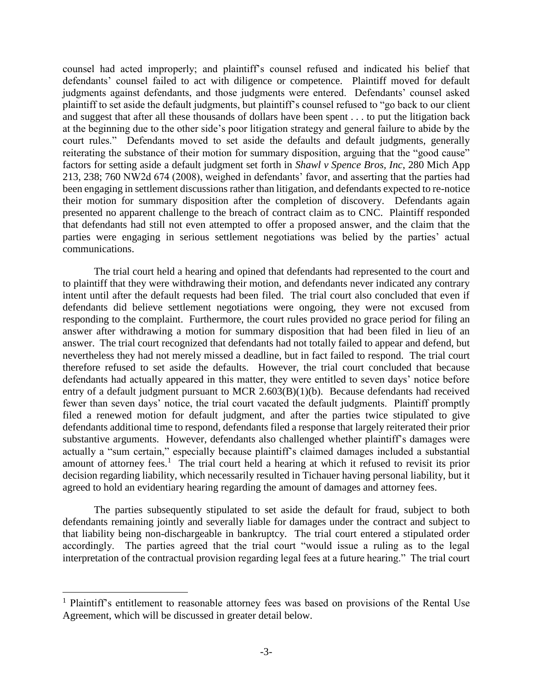counsel had acted improperly; and plaintiff's counsel refused and indicated his belief that defendants' counsel failed to act with diligence or competence. Plaintiff moved for default judgments against defendants, and those judgments were entered. Defendants' counsel asked plaintiff to set aside the default judgments, but plaintiff's counsel refused to "go back to our client and suggest that after all these thousands of dollars have been spent . . . to put the litigation back at the beginning due to the other side's poor litigation strategy and general failure to abide by the court rules." Defendants moved to set aside the defaults and default judgments, generally reiterating the substance of their motion for summary disposition, arguing that the "good cause" factors for setting aside a default judgment set forth in *Shawl v Spence Bros, Inc*, 280 Mich App 213, 238; 760 NW2d 674 (2008), weighed in defendants' favor, and asserting that the parties had been engaging in settlement discussions rather than litigation, and defendants expected to re-notice their motion for summary disposition after the completion of discovery. Defendants again presented no apparent challenge to the breach of contract claim as to CNC. Plaintiff responded that defendants had still not even attempted to offer a proposed answer, and the claim that the parties were engaging in serious settlement negotiations was belied by the parties' actual communications.

The trial court held a hearing and opined that defendants had represented to the court and to plaintiff that they were withdrawing their motion, and defendants never indicated any contrary intent until after the default requests had been filed. The trial court also concluded that even if defendants did believe settlement negotiations were ongoing, they were not excused from responding to the complaint. Furthermore, the court rules provided no grace period for filing an answer after withdrawing a motion for summary disposition that had been filed in lieu of an answer. The trial court recognized that defendants had not totally failed to appear and defend, but nevertheless they had not merely missed a deadline, but in fact failed to respond. The trial court therefore refused to set aside the defaults. However, the trial court concluded that because defendants had actually appeared in this matter, they were entitled to seven days' notice before entry of a default judgment pursuant to MCR 2.603(B)(1)(b). Because defendants had received fewer than seven days' notice, the trial court vacated the default judgments. Plaintiff promptly filed a renewed motion for default judgment, and after the parties twice stipulated to give defendants additional time to respond, defendants filed a response that largely reiterated their prior substantive arguments. However, defendants also challenged whether plaintiff's damages were actually a "sum certain," especially because plaintiff's claimed damages included a substantial amount of attorney fees.<sup>1</sup> The trial court held a hearing at which it refused to revisit its prior decision regarding liability, which necessarily resulted in Tichauer having personal liability, but it agreed to hold an evidentiary hearing regarding the amount of damages and attorney fees.

The parties subsequently stipulated to set aside the default for fraud, subject to both defendants remaining jointly and severally liable for damages under the contract and subject to that liability being non-dischargeable in bankruptcy. The trial court entered a stipulated order accordingly. The parties agreed that the trial court "would issue a ruling as to the legal interpretation of the contractual provision regarding legal fees at a future hearing." The trial court

<sup>&</sup>lt;sup>1</sup> Plaintiff's entitlement to reasonable attorney fees was based on provisions of the Rental Use Agreement, which will be discussed in greater detail below.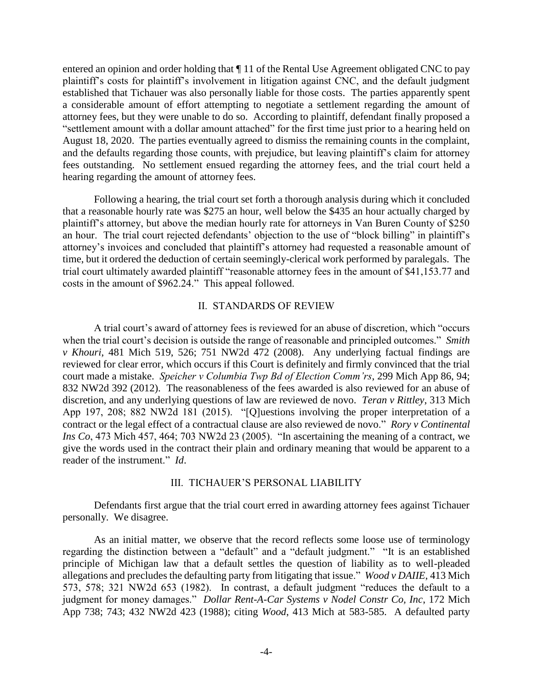entered an opinion and order holding that ¶ 11 of the Rental Use Agreement obligated CNC to pay plaintiff's costs for plaintiff's involvement in litigation against CNC, and the default judgment established that Tichauer was also personally liable for those costs. The parties apparently spent a considerable amount of effort attempting to negotiate a settlement regarding the amount of attorney fees, but they were unable to do so. According to plaintiff, defendant finally proposed a "settlement amount with a dollar amount attached" for the first time just prior to a hearing held on August 18, 2020. The parties eventually agreed to dismiss the remaining counts in the complaint, and the defaults regarding those counts, with prejudice, but leaving plaintiff's claim for attorney fees outstanding. No settlement ensued regarding the attorney fees, and the trial court held a hearing regarding the amount of attorney fees.

Following a hearing, the trial court set forth a thorough analysis during which it concluded that a reasonable hourly rate was \$275 an hour, well below the \$435 an hour actually charged by plaintiff's attorney, but above the median hourly rate for attorneys in Van Buren County of \$250 an hour. The trial court rejected defendants' objection to the use of "block billing" in plaintiff's attorney's invoices and concluded that plaintiff's attorney had requested a reasonable amount of time, but it ordered the deduction of certain seemingly-clerical work performed by paralegals. The trial court ultimately awarded plaintiff "reasonable attorney fees in the amount of \$41,153.77 and costs in the amount of \$962.24." This appeal followed.

#### II. STANDARDS OF REVIEW

A trial court's award of attorney fees is reviewed for an abuse of discretion, which "occurs when the trial court's decision is outside the range of reasonable and principled outcomes." *Smith v Khouri*, 481 Mich 519, 526; 751 NW2d 472 (2008). Any underlying factual findings are reviewed for clear error, which occurs if this Court is definitely and firmly convinced that the trial court made a mistake. *Speicher v Columbia Twp Bd of Election Comm'rs*, 299 Mich App 86, 94; 832 NW2d 392 (2012). The reasonableness of the fees awarded is also reviewed for an abuse of discretion, and any underlying questions of law are reviewed de novo. *Teran v Rittley*, 313 Mich App 197, 208; 882 NW2d 181 (2015). "[Q]uestions involving the proper interpretation of a contract or the legal effect of a contractual clause are also reviewed de novo." *Rory v Continental Ins Co*, 473 Mich 457, 464; 703 NW2d 23 (2005). "In ascertaining the meaning of a contract, we give the words used in the contract their plain and ordinary meaning that would be apparent to a reader of the instrument." *Id*.

#### III. TICHAUER'S PERSONAL LIABILITY

Defendants first argue that the trial court erred in awarding attorney fees against Tichauer personally. We disagree.

As an initial matter, we observe that the record reflects some loose use of terminology regarding the distinction between a "default" and a "default judgment." "It is an established principle of Michigan law that a default settles the question of liability as to well-pleaded allegations and precludes the defaulting party from litigating that issue." *Wood v DAIIE*, 413 Mich 573, 578; 321 NW2d 653 (1982). In contrast, a default judgment "reduces the default to a judgment for money damages." *Dollar Rent-A-Car Systems v Nodel Constr Co, Inc*, 172 Mich App 738; 743; 432 NW2d 423 (1988); citing *Wood*, 413 Mich at 583-585. A defaulted party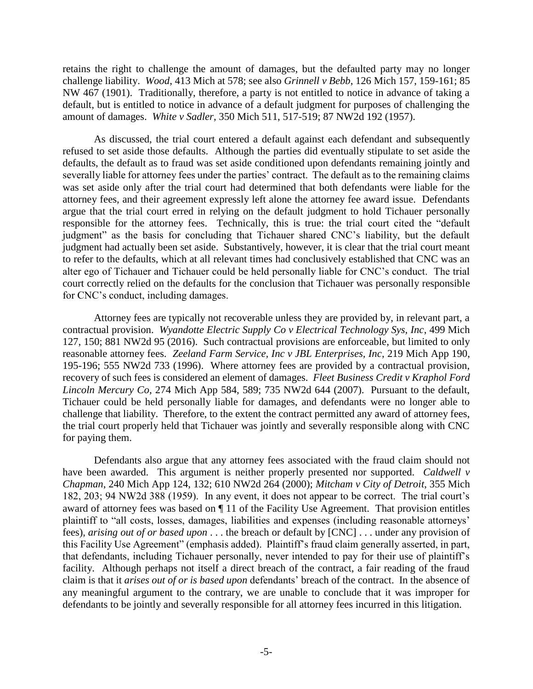retains the right to challenge the amount of damages, but the defaulted party may no longer challenge liability. *Wood*, 413 Mich at 578; see also *Grinnell v Bebb*, 126 Mich 157, 159-161; 85 NW 467 (1901). Traditionally, therefore, a party is not entitled to notice in advance of taking a default, but is entitled to notice in advance of a default judgment for purposes of challenging the amount of damages. *White v Sadler*, 350 Mich 511, 517-519; 87 NW2d 192 (1957).

As discussed, the trial court entered a default against each defendant and subsequently refused to set aside those defaults. Although the parties did eventually stipulate to set aside the defaults, the default as to fraud was set aside conditioned upon defendants remaining jointly and severally liable for attorney fees under the parties' contract. The default as to the remaining claims was set aside only after the trial court had determined that both defendants were liable for the attorney fees, and their agreement expressly left alone the attorney fee award issue. Defendants argue that the trial court erred in relying on the default judgment to hold Tichauer personally responsible for the attorney fees. Technically, this is true: the trial court cited the "default judgment" as the basis for concluding that Tichauer shared CNC's liability, but the default judgment had actually been set aside. Substantively, however, it is clear that the trial court meant to refer to the defaults, which at all relevant times had conclusively established that CNC was an alter ego of Tichauer and Tichauer could be held personally liable for CNC's conduct. The trial court correctly relied on the defaults for the conclusion that Tichauer was personally responsible for CNC's conduct, including damages.

Attorney fees are typically not recoverable unless they are provided by, in relevant part, a contractual provision. *Wyandotte Electric Supply Co v Electrical Technology Sys, Inc*, 499 Mich 127, 150; 881 NW2d 95 (2016). Such contractual provisions are enforceable, but limited to only reasonable attorney fees. *Zeeland Farm Service, Inc v JBL Enterprises, Inc*, 219 Mich App 190, 195-196; 555 NW2d 733 (1996). Where attorney fees are provided by a contractual provision, recovery of such fees is considered an element of damages. *Fleet Business Credit v Kraphol Ford Lincoln Mercury Co*, 274 Mich App 584, 589; 735 NW2d 644 (2007). Pursuant to the default, Tichauer could be held personally liable for damages, and defendants were no longer able to challenge that liability. Therefore, to the extent the contract permitted any award of attorney fees, the trial court properly held that Tichauer was jointly and severally responsible along with CNC for paying them.

Defendants also argue that any attorney fees associated with the fraud claim should not have been awarded. This argument is neither properly presented nor supported. *Caldwell v Chapman*, 240 Mich App 124, 132; 610 NW2d 264 (2000); *Mitcham v City of Detroit*, 355 Mich 182, 203; 94 NW2d 388 (1959). In any event, it does not appear to be correct. The trial court's award of attorney fees was based on ¶ 11 of the Facility Use Agreement. That provision entitles plaintiff to "all costs, losses, damages, liabilities and expenses (including reasonable attorneys' fees), *arising out of or based upon* . . . the breach or default by [CNC] . . . under any provision of this Facility Use Agreement" (emphasis added). Plaintiff's fraud claim generally asserted, in part, that defendants, including Tichauer personally, never intended to pay for their use of plaintiff's facility. Although perhaps not itself a direct breach of the contract, a fair reading of the fraud claim is that it *arises out of or is based upon* defendants' breach of the contract. In the absence of any meaningful argument to the contrary, we are unable to conclude that it was improper for defendants to be jointly and severally responsible for all attorney fees incurred in this litigation.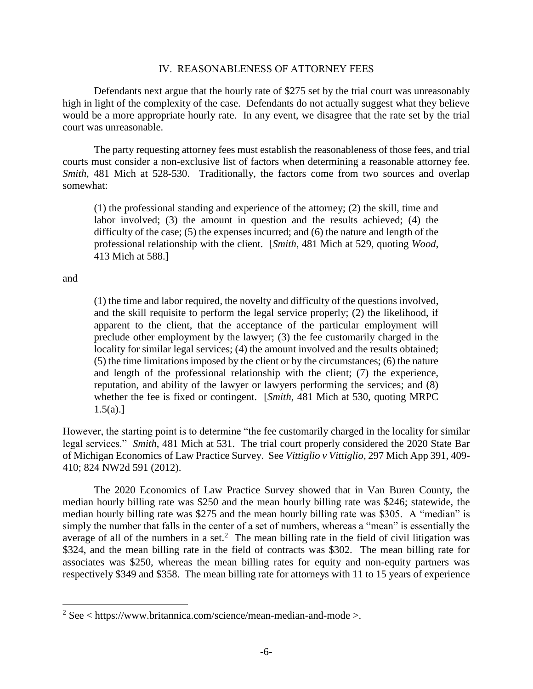#### IV. REASONABLENESS OF ATTORNEY FEES

Defendants next argue that the hourly rate of \$275 set by the trial court was unreasonably high in light of the complexity of the case. Defendants do not actually suggest what they believe would be a more appropriate hourly rate. In any event, we disagree that the rate set by the trial court was unreasonable.

The party requesting attorney fees must establish the reasonableness of those fees, and trial courts must consider a non-exclusive list of factors when determining a reasonable attorney fee. *Smith*, 481 Mich at 528-530. Traditionally, the factors come from two sources and overlap somewhat:

(1) the professional standing and experience of the attorney; (2) the skill, time and labor involved; (3) the amount in question and the results achieved; (4) the difficulty of the case; (5) the expenses incurred; and (6) the nature and length of the professional relationship with the client. [*Smith*, 481 Mich at 529, quoting *Wood*, 413 Mich at 588.]

and

 $\overline{a}$ 

(1) the time and labor required, the novelty and difficulty of the questions involved, and the skill requisite to perform the legal service properly; (2) the likelihood, if apparent to the client, that the acceptance of the particular employment will preclude other employment by the lawyer; (3) the fee customarily charged in the locality for similar legal services; (4) the amount involved and the results obtained; (5) the time limitations imposed by the client or by the circumstances; (6) the nature and length of the professional relationship with the client; (7) the experience, reputation, and ability of the lawyer or lawyers performing the services; and (8) whether the fee is fixed or contingent. [*Smith*, 481 Mich at 530, quoting MRPC  $1.5(a).$ ]

However, the starting point is to determine "the fee customarily charged in the locality for similar legal services." *Smith*, 481 Mich at 531. The trial court properly considered the 2020 State Bar of Michigan Economics of Law Practice Survey. See *Vittiglio v Vittiglio*, 297 Mich App 391, 409- 410; 824 NW2d 591 (2012).

The 2020 Economics of Law Practice Survey showed that in Van Buren County, the median hourly billing rate was \$250 and the mean hourly billing rate was \$246; statewide, the median hourly billing rate was \$275 and the mean hourly billing rate was \$305. A "median" is simply the number that falls in the center of a set of numbers, whereas a "mean" is essentially the average of all of the numbers in a set.<sup>2</sup> The mean billing rate in the field of civil litigation was \$324, and the mean billing rate in the field of contracts was \$302. The mean billing rate for associates was \$250, whereas the mean billing rates for equity and non-equity partners was respectively \$349 and \$358. The mean billing rate for attorneys with 11 to 15 years of experience

 $2$  See  $\lt$  https://www.britannica.com/science/mean-median-and-mode  $\gt$ .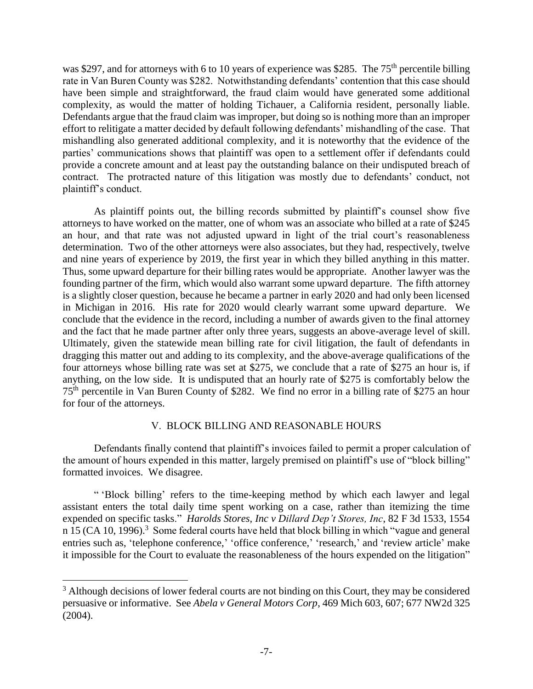was \$297, and for attorneys with 6 to 10 years of experience was \$285. The 75<sup>th</sup> percentile billing rate in Van Buren County was \$282. Notwithstanding defendants' contention that this case should have been simple and straightforward, the fraud claim would have generated some additional complexity, as would the matter of holding Tichauer, a California resident, personally liable. Defendants argue that the fraud claim was improper, but doing so is nothing more than an improper effort to relitigate a matter decided by default following defendants' mishandling of the case. That mishandling also generated additional complexity, and it is noteworthy that the evidence of the parties' communications shows that plaintiff was open to a settlement offer if defendants could provide a concrete amount and at least pay the outstanding balance on their undisputed breach of contract. The protracted nature of this litigation was mostly due to defendants' conduct, not plaintiff's conduct.

As plaintiff points out, the billing records submitted by plaintiff's counsel show five attorneys to have worked on the matter, one of whom was an associate who billed at a rate of \$245 an hour, and that rate was not adjusted upward in light of the trial court's reasonableness determination. Two of the other attorneys were also associates, but they had, respectively, twelve and nine years of experience by 2019, the first year in which they billed anything in this matter. Thus, some upward departure for their billing rates would be appropriate. Another lawyer was the founding partner of the firm, which would also warrant some upward departure. The fifth attorney is a slightly closer question, because he became a partner in early 2020 and had only been licensed in Michigan in 2016. His rate for 2020 would clearly warrant some upward departure. We conclude that the evidence in the record, including a number of awards given to the final attorney and the fact that he made partner after only three years, suggests an above-average level of skill. Ultimately, given the statewide mean billing rate for civil litigation, the fault of defendants in dragging this matter out and adding to its complexity, and the above-average qualifications of the four attorneys whose billing rate was set at \$275, we conclude that a rate of \$275 an hour is, if anything, on the low side. It is undisputed that an hourly rate of \$275 is comfortably below the 75th percentile in Van Buren County of \$282. We find no error in a billing rate of \$275 an hour for four of the attorneys.

### V. BLOCK BILLING AND REASONABLE HOURS

Defendants finally contend that plaintiff's invoices failed to permit a proper calculation of the amount of hours expended in this matter, largely premised on plaintiff's use of "block billing" formatted invoices. We disagree.

" 'Block billing' refers to the time-keeping method by which each lawyer and legal assistant enters the total daily time spent working on a case, rather than itemizing the time expended on specific tasks." *Harolds Stores, Inc v Dillard Dep't Stores, Inc*, 82 F 3d 1533, 1554 n  $15$  (CA 10, 1996).<sup>3</sup> Some federal courts have held that block billing in which "vague and general entries such as, 'telephone conference,' 'office conference,' 'research,' and 'review article' make it impossible for the Court to evaluate the reasonableness of the hours expended on the litigation"

 $3$  Although decisions of lower federal courts are not binding on this Court, they may be considered persuasive or informative. See *Abela v General Motors Corp*, 469 Mich 603, 607; 677 NW2d 325 (2004).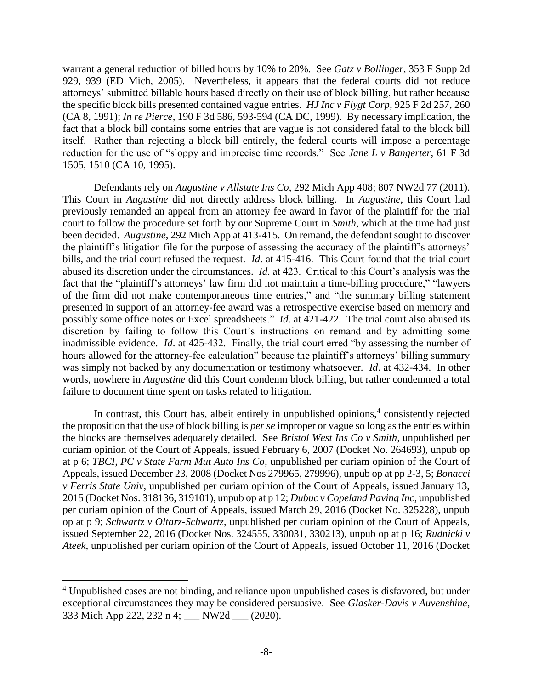warrant a general reduction of billed hours by 10% to 20%. See *Gatz v Bollinger*, 353 F Supp 2d 929, 939 (ED Mich, 2005). Nevertheless, it appears that the federal courts did not reduce attorneys' submitted billable hours based directly on their use of block billing, but rather because the specific block bills presented contained vague entries. *HJ Inc v Flygt Corp*, 925 F 2d 257, 260 (CA 8, 1991); *In re Pierce*, 190 F 3d 586, 593-594 (CA DC, 1999). By necessary implication, the fact that a block bill contains some entries that are vague is not considered fatal to the block bill itself. Rather than rejecting a block bill entirely, the federal courts will impose a percentage reduction for the use of "sloppy and imprecise time records." See *Jane L v Bangerter*, 61 F 3d 1505, 1510 (CA 10, 1995).

Defendants rely on *Augustine v Allstate Ins Co*, 292 Mich App 408; 807 NW2d 77 (2011). This Court in *Augustine* did not directly address block billing. In *Augustine*, this Court had previously remanded an appeal from an attorney fee award in favor of the plaintiff for the trial court to follow the procedure set forth by our Supreme Court in *Smith*, which at the time had just been decided. *Augustine*, 292 Mich App at 413-415. On remand, the defendant sought to discover the plaintiff's litigation file for the purpose of assessing the accuracy of the plaintiff's attorneys' bills, and the trial court refused the request. *Id*. at 415-416. This Court found that the trial court abused its discretion under the circumstances. *Id*. at 423. Critical to this Court's analysis was the fact that the "plaintiff's attorneys' law firm did not maintain a time-billing procedure," "lawyers of the firm did not make contemporaneous time entries," and "the summary billing statement presented in support of an attorney-fee award was a retrospective exercise based on memory and possibly some office notes or Excel spreadsheets." *Id*. at 421-422. The trial court also abused its discretion by failing to follow this Court's instructions on remand and by admitting some inadmissible evidence. *Id*. at 425-432. Finally, the trial court erred "by assessing the number of hours allowed for the attorney-fee calculation" because the plaintiff's attorneys' billing summary was simply not backed by any documentation or testimony whatsoever. *Id*. at 432-434. In other words, nowhere in *Augustine* did this Court condemn block billing, but rather condemned a total failure to document time spent on tasks related to litigation.

In contrast, this Court has, albeit entirely in unpublished opinions,<sup>4</sup> consistently rejected the proposition that the use of block billing is *per se* improper or vague so long as the entries within the blocks are themselves adequately detailed. See *Bristol West Ins Co v Smith*, unpublished per curiam opinion of the Court of Appeals, issued February 6, 2007 (Docket No. 264693), unpub op at p 6; *TBCI, PC v State Farm Mut Auto Ins Co*, unpublished per curiam opinion of the Court of Appeals, issued December 23, 2008 (Docket Nos 279965, 279996), unpub op at pp 2-3, 5; *Bonacci v Ferris State Univ*, unpublished per curiam opinion of the Court of Appeals, issued January 13, 2015 (Docket Nos. 318136, 319101), unpub op at p 12; *Dubuc v Copeland Paving Inc*, unpublished per curiam opinion of the Court of Appeals, issued March 29, 2016 (Docket No. 325228), unpub op at p 9; *Schwartz v Oltarz-Schwartz*, unpublished per curiam opinion of the Court of Appeals, issued September 22, 2016 (Docket Nos. 324555, 330031, 330213), unpub op at p 16; *Rudnicki v Ateek*, unpublished per curiam opinion of the Court of Appeals, issued October 11, 2016 (Docket

<sup>&</sup>lt;sup>4</sup> Unpublished cases are not binding, and reliance upon unpublished cases is disfavored, but under exceptional circumstances they may be considered persuasive. See *Glasker-Davis v Auvenshine*, 333 Mich App 222, 232 n 4; \_\_\_ NW2d \_\_\_ (2020).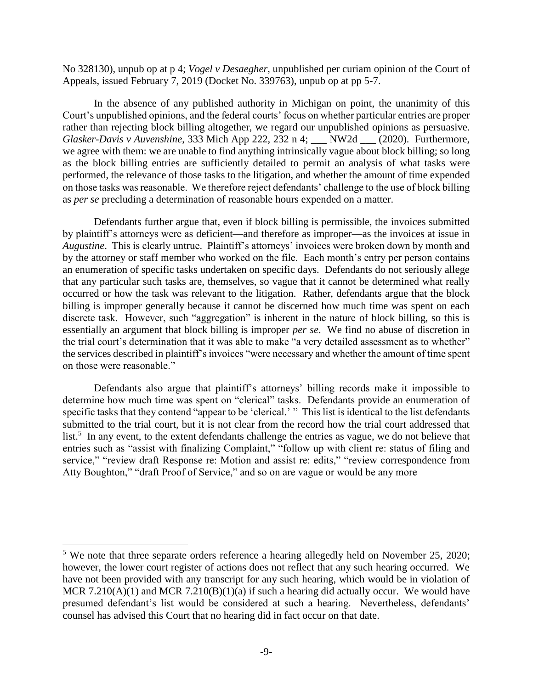No 328130), unpub op at p 4; *Vogel v Desaegher*, unpublished per curiam opinion of the Court of Appeals, issued February 7, 2019 (Docket No. 339763), unpub op at pp 5-7.

In the absence of any published authority in Michigan on point, the unanimity of this Court's unpublished opinions, and the federal courts' focus on whether particular entries are proper rather than rejecting block billing altogether, we regard our unpublished opinions as persuasive. *Glasker-Davis v Auvenshine*, 333 Mich App 222, 232 n 4; \_\_\_ NW2d \_\_\_ (2020). Furthermore, we agree with them: we are unable to find anything intrinsically vague about block billing; so long as the block billing entries are sufficiently detailed to permit an analysis of what tasks were performed, the relevance of those tasks to the litigation, and whether the amount of time expended on those tasks was reasonable. We therefore reject defendants' challenge to the use of block billing as *per se* precluding a determination of reasonable hours expended on a matter.

Defendants further argue that, even if block billing is permissible, the invoices submitted by plaintiff's attorneys were as deficient—and therefore as improper—as the invoices at issue in *Augustine*. This is clearly untrue. Plaintiff's attorneys' invoices were broken down by month and by the attorney or staff member who worked on the file. Each month's entry per person contains an enumeration of specific tasks undertaken on specific days. Defendants do not seriously allege that any particular such tasks are, themselves, so vague that it cannot be determined what really occurred or how the task was relevant to the litigation. Rather, defendants argue that the block billing is improper generally because it cannot be discerned how much time was spent on each discrete task. However, such "aggregation" is inherent in the nature of block billing, so this is essentially an argument that block billing is improper *per se*. We find no abuse of discretion in the trial court's determination that it was able to make "a very detailed assessment as to whether" the services described in plaintiff's invoices "were necessary and whether the amount of time spent on those were reasonable."

Defendants also argue that plaintiff's attorneys' billing records make it impossible to determine how much time was spent on "clerical" tasks. Defendants provide an enumeration of specific tasks that they contend "appear to be 'clerical.' " This list is identical to the list defendants submitted to the trial court, but it is not clear from the record how the trial court addressed that list.<sup>5</sup> In any event, to the extent defendants challenge the entries as vague, we do not believe that entries such as "assist with finalizing Complaint," "follow up with client re: status of filing and service," "review draft Response re: Motion and assist re: edits," "review correspondence from Atty Boughton," "draft Proof of Service," and so on are vague or would be any more

 $5$  We note that three separate orders reference a hearing allegedly held on November 25, 2020; however, the lower court register of actions does not reflect that any such hearing occurred. We have not been provided with any transcript for any such hearing, which would be in violation of MCR 7.210(A)(1) and MCR 7.210(B)(1)(a) if such a hearing did actually occur. We would have presumed defendant's list would be considered at such a hearing. Nevertheless, defendants' counsel has advised this Court that no hearing did in fact occur on that date.